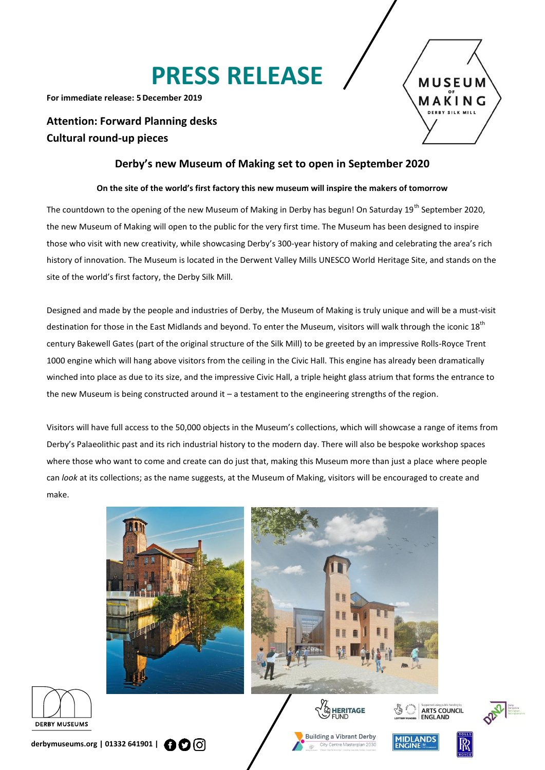# **PRESS RELEASE**

**For immediate release: 5December 2019**

## **Attention: Forward Planning desks Cultural round-up pieces**



### **Derby's new Museum of Making set to open in September 2020**

#### **On the site of the world's first factory this new museum will inspire the makers of tomorrow**

The countdown to the opening of the new Museum of Making in Derby has begun! On Saturday 19<sup>th</sup> September 2020, the new Museum of Making will open to the public for the very first time. The Museum has been designed to inspire those who visit with new creativity, while showcasing Derby's 300-year history of making and celebrating the area's rich history of innovation. The Museum is located in the Derwent Valley Mills UNESCO World Heritage Site, and stands on the site of the world's first factory, the Derby Silk Mill.

Designed and made by the people and industries of Derby, the Museum of Making is truly unique and will be a must-visit destination for those in the East Midlands and beyond. To enter the Museum, visitors will walk through the iconic 18<sup>th</sup> century Bakewell Gates (part of the original structure of the Silk Mill) to be greeted by an impressive Rolls-Royce Trent 1000 engine which will hang above visitors from the ceiling in the Civic Hall. This engine has already been dramatically winched into place as due to its size, and the impressive Civic Hall, a triple height glass atrium that forms the entrance to the new Museum is being constructed around it – a testament to the engineering strengths of the region.

Visitors will have full access to the 50,000 objects in the Museum's collections, which will showcase a range of items from Derby's Palaeolithic past and its rich industrial history to the modern day. There will also be bespoke workshop spaces where those who want to come and create can do just that, making this Museum more than just a place where people can *look* at its collections; as the name suggests, at the Museum of Making, visitors will be encouraged to create and make.











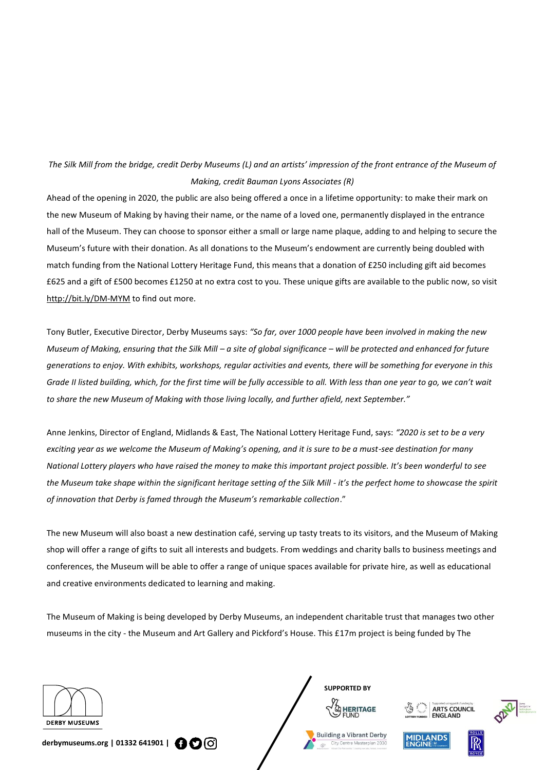## *The Silk Mill from the bridge, credit Derby Museums (L) and an artists' impression of the front entrance of the Museum of Making, credit Bauman Lyons Associates (R)*

Ahead of the opening in 2020, the public are also being offered a once in a lifetime opportunity: to make their mark on the new Museum of Making by having their name, or the name of a loved one, permanently displayed in the entrance hall of the Museum. They can choose to sponsor either a small or large name plaque, adding to and helping to secure the Museum's future with their donation. As all donations to the Museum's endowment are currently being doubled with match funding from the National Lottery Heritage Fund, this means that a donation of £250 including gift aid becomes £625 and a gift of £500 becomes £1250 at no extra cost to you. These unique gifts are available to the public now, so visit <http://bit.ly/DM-MYM> to find out more.

Tony Butler, Executive Director, Derby Museums says: *"So far, over 1000 people have been involved in making the new Museum of Making, ensuring that the Silk Mill – a site of global significance – will be protected and enhanced for future generations to enjoy. With exhibits, workshops, regular activities and events, there will be something for everyone in this Grade II listed building, which, for the first time will be fully accessible to all. With less than one year to go, we can't wait to share the new Museum of Making with those living locally, and further afield, next September."*

Anne Jenkins, Director of England, Midlands & East, The National Lottery Heritage Fund, says: *"2020 is set to be a very exciting year as we welcome the Museum of Making's opening, and it is sure to be a must-see destination for many National Lottery players who have raised the money to make this important project possible. It's been wonderful to see the Museum take shape within the significant heritage setting of the Silk Mill - it's the perfect home to showcase the spirit of innovation that Derby is famed through the Museum's remarkable collection*."

The new Museum will also boast a new destination café, serving up tasty treats to its visitors, and the Museum of Making shop will offer a range of gifts to suit all interests and budgets. From weddings and charity balls to business meetings and conferences, the Museum will be able to offer a range of unique spaces available for private hire, as well as educational and creative environments dedicated to learning and making.

The Museum of Making is being developed by Derby Museums, an independent charitable trust that manages two other museums in the city - the Museum and Art Gallery and Pickford's House. This £17m project is being funded by The







**derbymuseums.org | 01332 641901 |** 





**HERITAGE** 

**SUPPORTED BY**

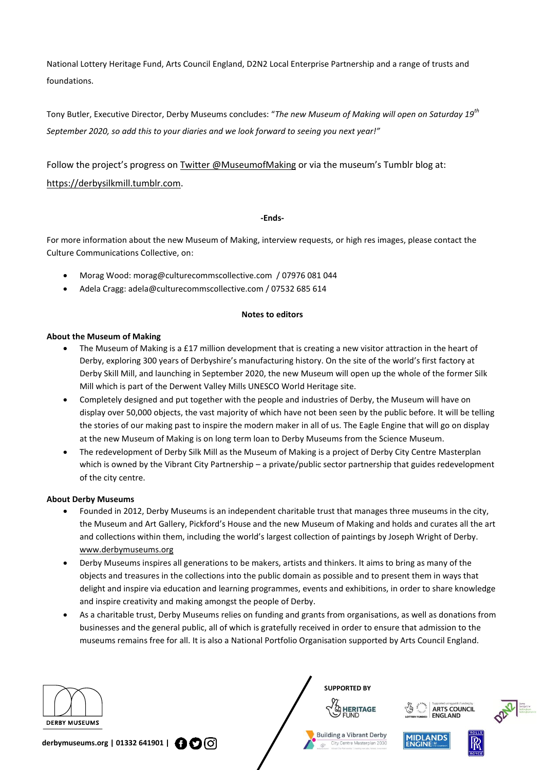National Lottery Heritage Fund, Arts Council England, D2N2 Local Enterprise Partnership and a range of trusts and foundations.

Tony Butler, Executive Director, Derby Museums concludes: "*The new Museum of Making will open on Saturday 19th September 2020, so add this to your diaries and we look forward to seeing you next year!"*

Follow the project's progress on [Twitter @MuseumofMaking](https://twitter.com/MuseumofMaking) or via the museum's Tumblr blog at: [https://derbysilkmill.tumblr.com.](https://derbysilkmill.tumblr.com/)

#### **-Ends-**

For more information about the new Museum of Making, interview requests, or high res images, please contact the Culture Communications Collective, on:

- Morag Wood: [morag@culturecommscollective.com](mailto:morag@culturecommscollective.com) / 07976 081 044
- Adela Cragg[: adela@culturecommscollective.com](mailto:adela@culturecommscollective.com) / 07532 685 614

#### **Notes to editors**

#### **About the Museum of Making**

- The Museum of Making is a £17 million development that is creating a new visitor attraction in the heart of Derby, exploring 300 years of Derbyshire's manufacturing history. On the site of the world's first factory at Derby Skill Mill, and launching in September 2020, the new Museum will open up the whole of the former Silk Mill which is part of the Derwent Valley Mills UNESCO World Heritage site.
- Completely designed and put together with the people and industries of Derby, the Museum will have on display over 50,000 objects, the vast majority of which have not been seen by the public before. It will be telling the stories of our making past to inspire the modern maker in all of us. The Eagle Engine that will go on display at the new Museum of Making is on long term loan to Derby Museums from the Science Museum.
- The redevelopment of Derby Silk Mill as the Museum of Making is a project of Derby City Centre Masterplan which is owned by the Vibrant City Partnership – a private/public sector partnership that guides redevelopment of the city centre.

#### **About Derby Museums**

- Founded in 2012, Derby Museums is an independent charitable trust that manages three museums in the city, the Museum and Art Gallery, Pickford's House and the new Museum of Making and holds and curates all the art and collections within them, including the world's largest collection of paintings by Joseph Wright of Derby. [www.derbymuseums.org](http://www.derbymuseums.org/)
- Derby Museums inspires all generations to be makers, artists and thinkers. It aims to bring as many of the objects and treasures in the collections into the public domain as possible and to present them in ways that delight and inspire via education and learning programmes, events and exhibitions, in order to share knowledge and inspire creativity and making amongst the people of Derby.
- As a charitable trust, Derby Museums relies on funding and grants from organisations, as well as donations from businesses and the general public, all of which is gratefully received in order to ensure that admission to the museums remains free for all. It is also a National Portfolio Organisation supported by Arts Council England.







 $\frac{1}{\sqrt{2}}$